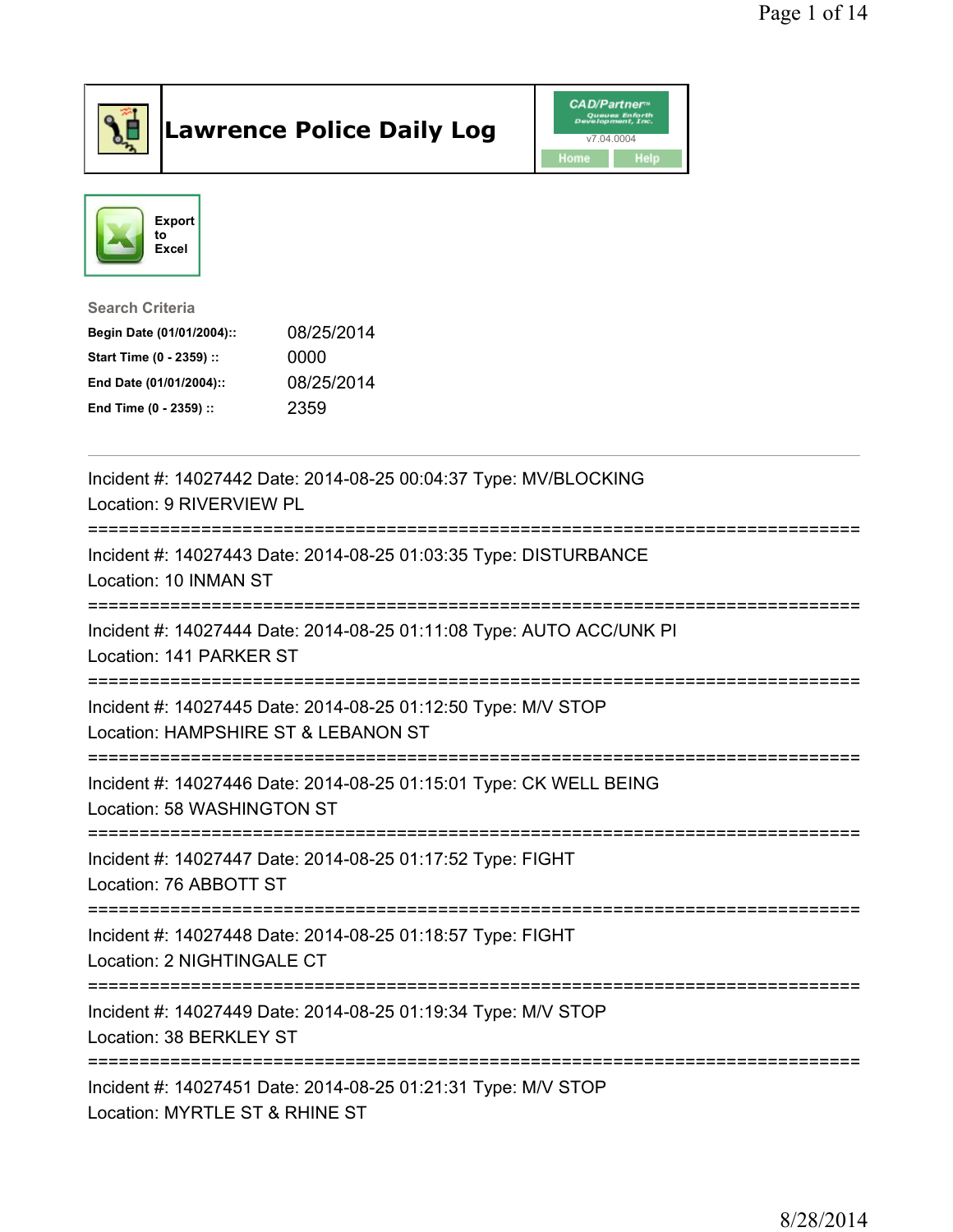

## Lawrence Police Daily Log Value of the CAD/Partner





Search Criteria

| Begin Date (01/01/2004):: | 08/25/2014 |
|---------------------------|------------|
| Start Time (0 - 2359) ::  | 0000       |
| End Date (01/01/2004)::   | 08/25/2014 |
| End Time (0 - 2359) ::    | 2359       |

| Incident #: 14027442 Date: 2014-08-25 00:04:37 Type: MV/BLOCKING<br>Location: 9 RIVERVIEW PL         |
|------------------------------------------------------------------------------------------------------|
| Incident #: 14027443 Date: 2014-08-25 01:03:35 Type: DISTURBANCE<br>Location: 10 INMAN ST            |
| Incident #: 14027444 Date: 2014-08-25 01:11:08 Type: AUTO ACC/UNK PI<br>Location: 141 PARKER ST      |
| Incident #: 14027445 Date: 2014-08-25 01:12:50 Type: M/V STOP<br>Location: HAMPSHIRE ST & LEBANON ST |
| Incident #: 14027446 Date: 2014-08-25 01:15:01 Type: CK WELL BEING<br>Location: 58 WASHINGTON ST     |
| Incident #: 14027447 Date: 2014-08-25 01:17:52 Type: FIGHT<br>Location: 76 ABBOTT ST                 |
| Incident #: 14027448 Date: 2014-08-25 01:18:57 Type: FIGHT<br>Location: 2 NIGHTINGALE CT             |
| Incident #: 14027449 Date: 2014-08-25 01:19:34 Type: M/V STOP<br>Location: 38 BERKLEY ST             |
| Incident #: 14027451 Date: 2014-08-25 01:21:31 Type: M/V STOP<br>Location: MYRTLE ST & RHINE ST      |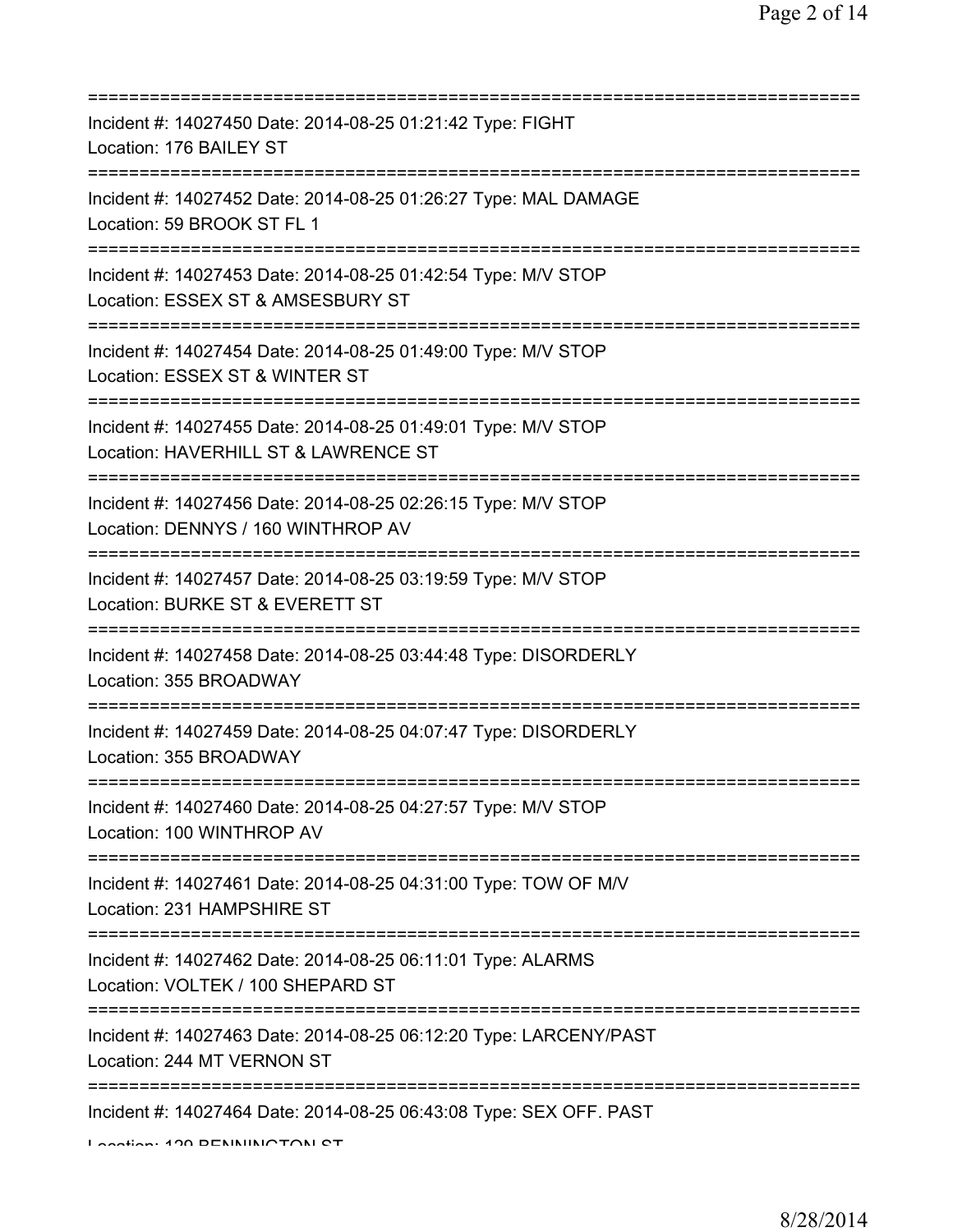| ==========================                                                                                                                   |
|----------------------------------------------------------------------------------------------------------------------------------------------|
| Incident #: 14027450 Date: 2014-08-25 01:21:42 Type: FIGHT<br>Location: 176 BAILEY ST                                                        |
| Incident #: 14027452 Date: 2014-08-25 01:26:27 Type: MAL DAMAGE<br>Location: 59 BROOK ST FL 1                                                |
| Incident #: 14027453 Date: 2014-08-25 01:42:54 Type: M/V STOP<br>Location: ESSEX ST & AMSESBURY ST<br>============================           |
| Incident #: 14027454 Date: 2014-08-25 01:49:00 Type: M/V STOP<br>Location: ESSEX ST & WINTER ST                                              |
| Incident #: 14027455 Date: 2014-08-25 01:49:01 Type: M/V STOP<br>Location: HAVERHILL ST & LAWRENCE ST                                        |
| Incident #: 14027456 Date: 2014-08-25 02:26:15 Type: M/V STOP<br>Location: DENNYS / 160 WINTHROP AV<br>===================================== |
| Incident #: 14027457 Date: 2014-08-25 03:19:59 Type: M/V STOP<br>Location: BURKE ST & EVERETT ST<br>====================                     |
| Incident #: 14027458 Date: 2014-08-25 03:44:48 Type: DISORDERLY<br>Location: 355 BROADWAY                                                    |
| Incident #: 14027459 Date: 2014-08-25 04:07:47 Type: DISORDERLY<br>Location: 355 BROADWAY                                                    |
| Incident #: 14027460 Date: 2014-08-25 04:27:57 Type: M/V STOP<br>Location: 100 WINTHROP AV                                                   |
| Incident #: 14027461 Date: 2014-08-25 04:31:00 Type: TOW OF M/V<br>Location: 231 HAMPSHIRE ST                                                |
| Incident #: 14027462 Date: 2014-08-25 06:11:01 Type: ALARMS<br>Location: VOLTEK / 100 SHEPARD ST                                             |
| Incident #: 14027463 Date: 2014-08-25 06:12:20 Type: LARCENY/PAST<br>Location: 244 MT VERNON ST                                              |
| Incident #: 14027464 Date: 2014-08-25 06:43:08 Type: SEX OFF. PAST                                                                           |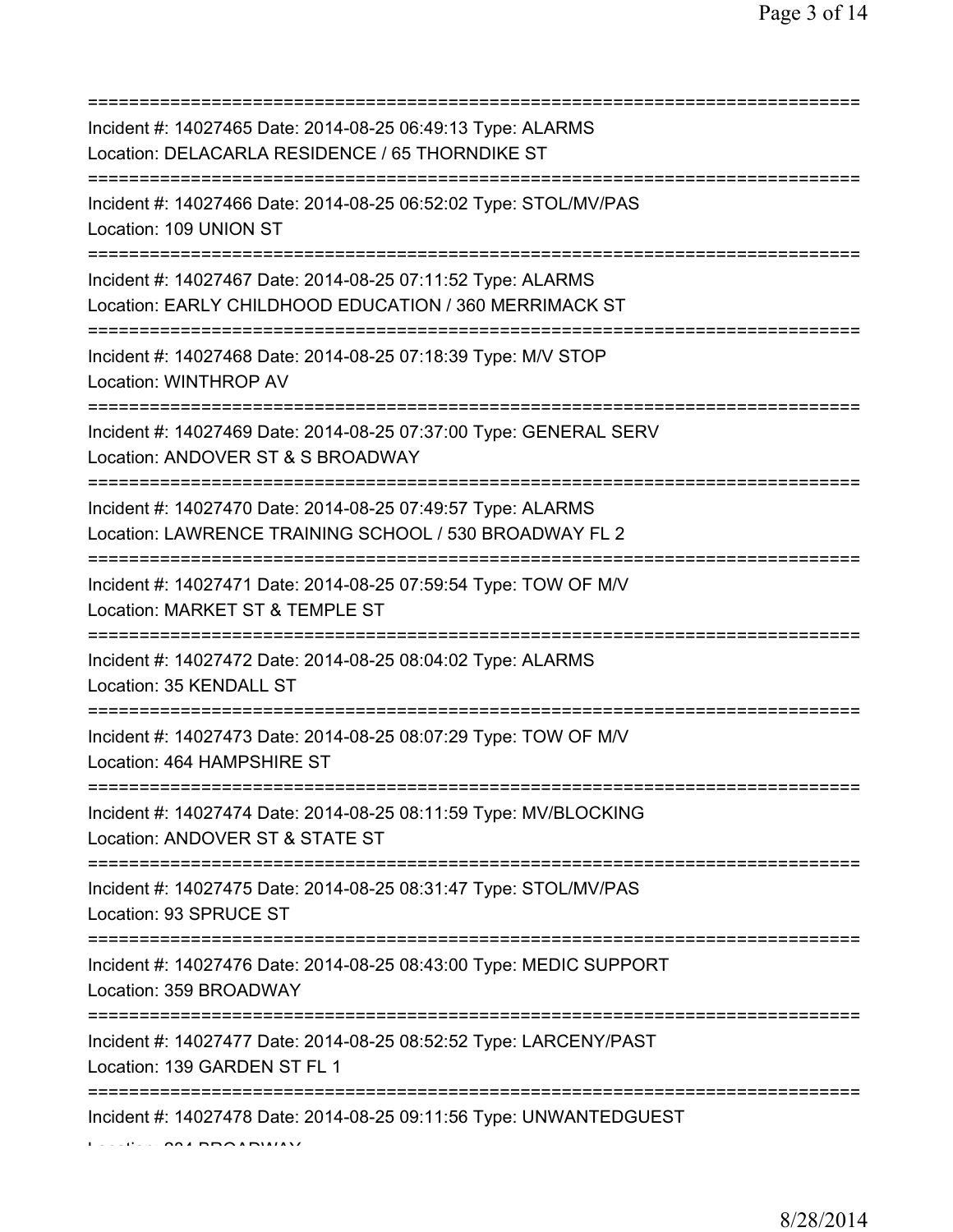| Incident #: 14027465 Date: 2014-08-25 06:49:13 Type: ALARMS<br>Location: DELACARLA RESIDENCE / 65 THORNDIKE ST        |
|-----------------------------------------------------------------------------------------------------------------------|
| Incident #: 14027466 Date: 2014-08-25 06:52:02 Type: STOL/MV/PAS<br>Location: 109 UNION ST                            |
| Incident #: 14027467 Date: 2014-08-25 07:11:52 Type: ALARMS<br>Location: EARLY CHILDHOOD EDUCATION / 360 MERRIMACK ST |
| Incident #: 14027468 Date: 2014-08-25 07:18:39 Type: M/V STOP<br>Location: WINTHROP AV                                |
| Incident #: 14027469 Date: 2014-08-25 07:37:00 Type: GENERAL SERV<br>Location: ANDOVER ST & S BROADWAY                |
| Incident #: 14027470 Date: 2014-08-25 07:49:57 Type: ALARMS<br>Location: LAWRENCE TRAINING SCHOOL / 530 BROADWAY FL 2 |
| Incident #: 14027471 Date: 2014-08-25 07:59:54 Type: TOW OF M/V<br>Location: MARKET ST & TEMPLE ST                    |
| Incident #: 14027472 Date: 2014-08-25 08:04:02 Type: ALARMS<br>Location: 35 KENDALL ST                                |
| Incident #: 14027473 Date: 2014-08-25 08:07:29 Type: TOW OF M/V<br>Location: 464 HAMPSHIRE ST                         |
| Incident #: 14027474 Date: 2014-08-25 08:11:59 Type: MV/BLOCKING<br>Location: ANDOVER ST & STATE ST                   |
| Incident #: 14027475 Date: 2014-08-25 08:31:47 Type: STOL/MV/PAS<br>Location: 93 SPRUCE ST                            |
| Incident #: 14027476 Date: 2014-08-25 08:43:00 Type: MEDIC SUPPORT<br>Location: 359 BROADWAY                          |
| Incident #: 14027477 Date: 2014-08-25 08:52:52 Type: LARCENY/PAST<br>Location: 139 GARDEN ST FL 1                     |
| Incident #: 14027478 Date: 2014-08-25 09:11:56 Type: UNWANTEDGUEST                                                    |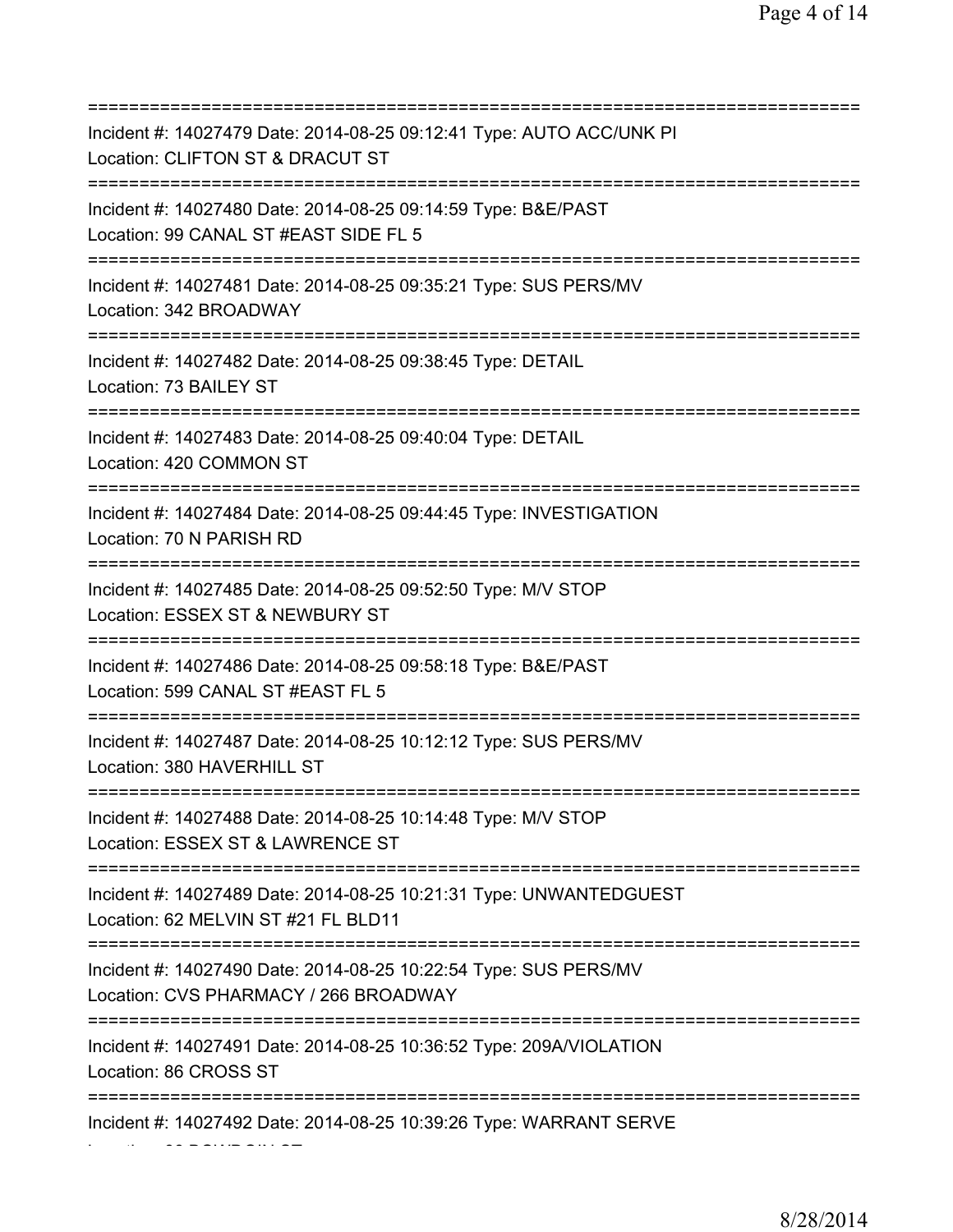| Incident #: 14027479 Date: 2014-08-25 09:12:41 Type: AUTO ACC/UNK PI<br>Location: CLIFTON ST & DRACUT ST                              |
|---------------------------------------------------------------------------------------------------------------------------------------|
| Incident #: 14027480 Date: 2014-08-25 09:14:59 Type: B&E/PAST<br>Location: 99 CANAL ST #EAST SIDE FL 5<br>========================    |
| Incident #: 14027481 Date: 2014-08-25 09:35:21 Type: SUS PERS/MV<br>Location: 342 BROADWAY<br>=====================================   |
| Incident #: 14027482 Date: 2014-08-25 09:38:45 Type: DETAIL<br>Location: 73 BAILEY ST<br>===========================                  |
| Incident #: 14027483 Date: 2014-08-25 09:40:04 Type: DETAIL<br>Location: 420 COMMON ST                                                |
| Incident #: 14027484 Date: 2014-08-25 09:44:45 Type: INVESTIGATION<br>Location: 70 N PARISH RD<br>:=================================  |
| Incident #: 14027485 Date: 2014-08-25 09:52:50 Type: M/V STOP<br>Location: ESSEX ST & NEWBURY ST                                      |
| Incident #: 14027486 Date: 2014-08-25 09:58:18 Type: B&E/PAST<br>Location: 599 CANAL ST #EAST FL 5                                    |
| Incident #: 14027487 Date: 2014-08-25 10:12:12 Type: SUS PERS/MV<br>Location: 380 HAVERHILL ST                                        |
| Incident #: 14027488 Date: 2014-08-25 10:14:48 Type: M/V STOP<br>Location: ESSEX ST & LAWRENCE ST<br>================================ |
| Incident #: 14027489 Date: 2014-08-25 10:21:31 Type: UNWANTEDGUEST<br>Location: 62 MELVIN ST #21 FL BLD11                             |
| Incident #: 14027490 Date: 2014-08-25 10:22:54 Type: SUS PERS/MV<br>Location: CVS PHARMACY / 266 BROADWAY                             |
| Incident #: 14027491 Date: 2014-08-25 10:36:52 Type: 209A/VIOLATION<br>Location: 86 CROSS ST                                          |
| Incident #: 14027492 Date: 2014-08-25 10:39:26 Type: WARRANT SERVE                                                                    |

Location: 66 BOWDOIN ST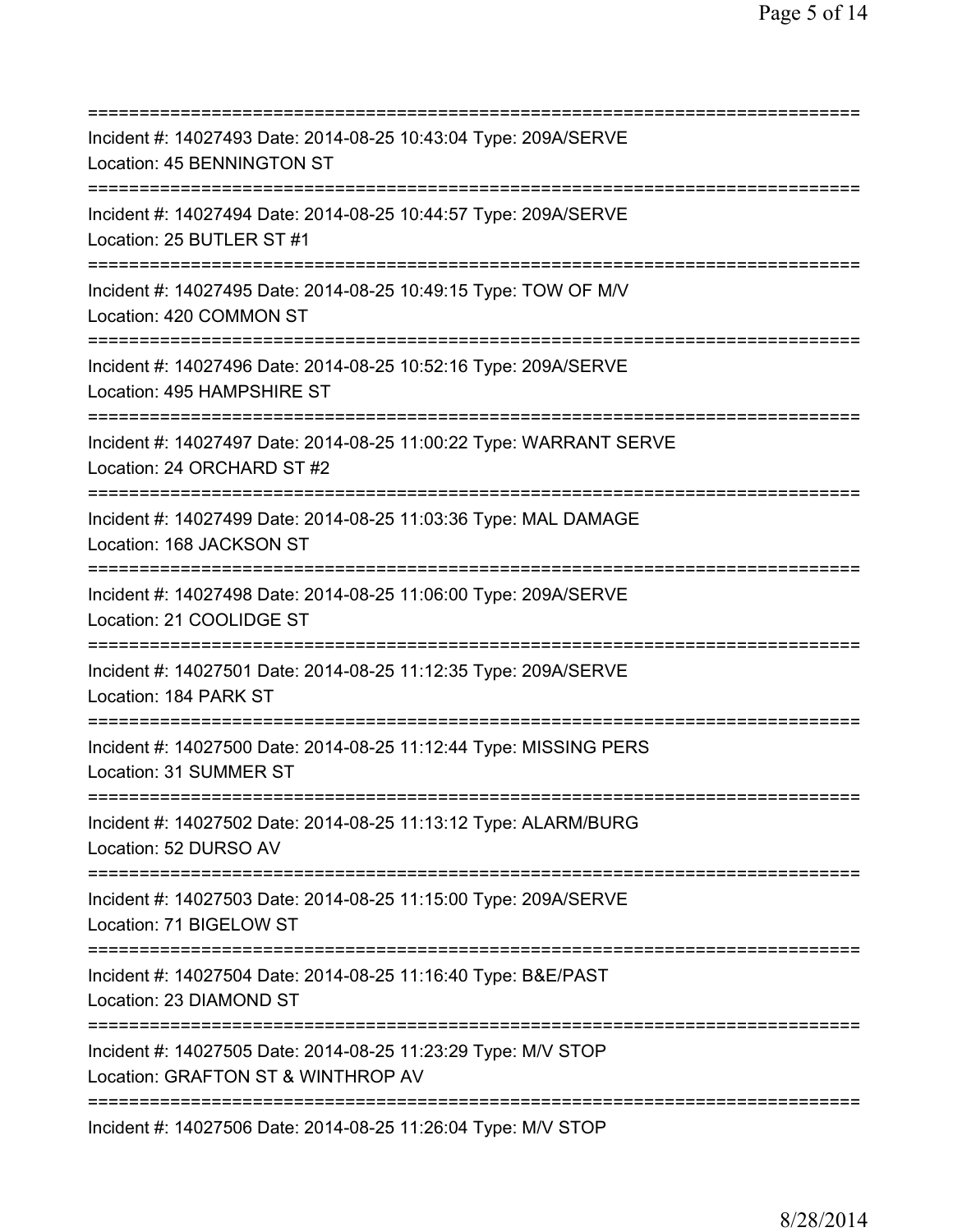| ===============================                                                                                                            |
|--------------------------------------------------------------------------------------------------------------------------------------------|
| Incident #: 14027493 Date: 2014-08-25 10:43:04 Type: 209A/SERVE<br>Location: 45 BENNINGTON ST                                              |
| Incident #: 14027494 Date: 2014-08-25 10:44:57 Type: 209A/SERVE<br>Location: 25 BUTLER ST #1                                               |
| Incident #: 14027495 Date: 2014-08-25 10:49:15 Type: TOW OF M/V<br>Location: 420 COMMON ST                                                 |
| Incident #: 14027496 Date: 2014-08-25 10:52:16 Type: 209A/SERVE<br>Location: 495 HAMPSHIRE ST<br>============================              |
| Incident #: 14027497 Date: 2014-08-25 11:00:22 Type: WARRANT SERVE<br>Location: 24 ORCHARD ST #2                                           |
| Incident #: 14027499 Date: 2014-08-25 11:03:36 Type: MAL DAMAGE<br>Location: 168 JACKSON ST<br>================================            |
| Incident #: 14027498 Date: 2014-08-25 11:06:00 Type: 209A/SERVE<br>Location: 21 COOLIDGE ST                                                |
| Incident #: 14027501 Date: 2014-08-25 11:12:35 Type: 209A/SERVE<br>Location: 184 PARK ST                                                   |
| Incident #: 14027500 Date: 2014-08-25 11:12:44 Type: MISSING PERS<br>Location: 31 SUMMER ST                                                |
| Incident #: 14027502 Date: 2014-08-25 11:13:12 Type: ALARM/BURG<br>Location: 52 DURSO AV                                                   |
| Incident #: 14027503 Date: 2014-08-25 11:15:00 Type: 209A/SERVE<br>Location: 71 BIGELOW ST                                                 |
| Incident #: 14027504 Date: 2014-08-25 11:16:40 Type: B&E/PAST<br>Location: 23 DIAMOND ST                                                   |
| ===================================<br>Incident #: 14027505 Date: 2014-08-25 11:23:29 Type: M/V STOP<br>Location: GRAFTON ST & WINTHROP AV |
| =============<br>Incident #: 14027506 Date: 2014-08-25 11:26:04 Type: M/V STOP                                                             |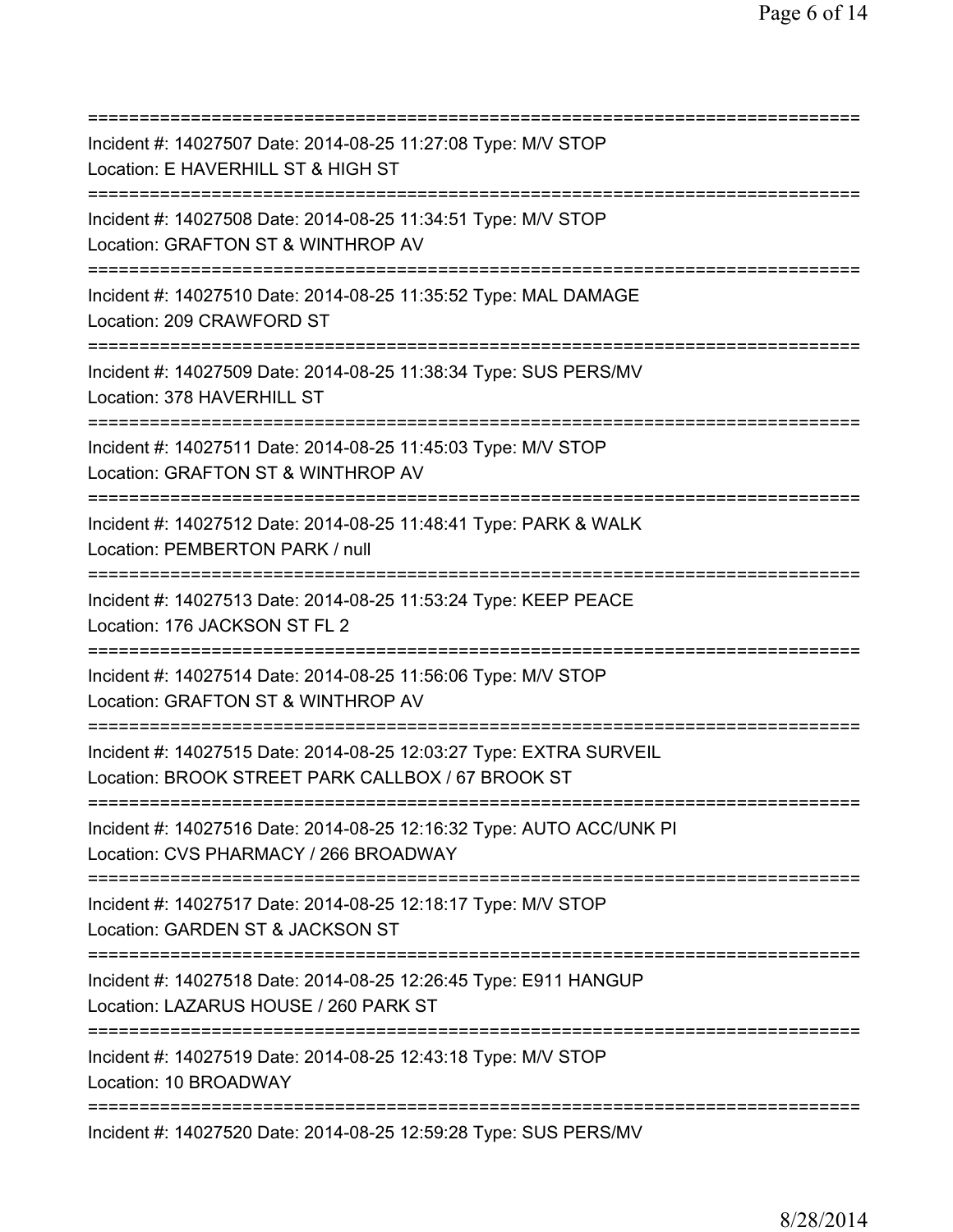=========================================================================== Incident #: 14027507 Date: 2014-08-25 11:27:08 Type: M/V STOP Location: E HAVERHILL ST & HIGH ST =========================================================================== Incident #: 14027508 Date: 2014-08-25 11:34:51 Type: M/V STOP Location: GRAFTON ST & WINTHROP AV =========================================================================== Incident #: 14027510 Date: 2014-08-25 11:35:52 Type: MAL DAMAGE Location: 209 CRAWFORD ST =========================================================================== Incident #: 14027509 Date: 2014-08-25 11:38:34 Type: SUS PERS/MV Location: 378 HAVERHILL ST =========================================================================== Incident #: 14027511 Date: 2014-08-25 11:45:03 Type: M/V STOP Location: GRAFTON ST & WINTHROP AV =========================================================================== Incident #: 14027512 Date: 2014-08-25 11:48:41 Type: PARK & WALK Location: PEMBERTON PARK / null =========================================================================== Incident #: 14027513 Date: 2014-08-25 11:53:24 Type: KEEP PEACE Location: 176 JACKSON ST FL 2 =========================================================================== Incident #: 14027514 Date: 2014-08-25 11:56:06 Type: M/V STOP Location: GRAFTON ST & WINTHROP AV =========================================================================== Incident #: 14027515 Date: 2014-08-25 12:03:27 Type: EXTRA SURVEIL Location: BROOK STREET PARK CALLBOX / 67 BROOK ST =========================================================================== Incident #: 14027516 Date: 2014-08-25 12:16:32 Type: AUTO ACC/UNK PI Location: CVS PHARMACY / 266 BROADWAY =========================================================================== Incident #: 14027517 Date: 2014-08-25 12:18:17 Type: M/V STOP Location: GARDEN ST & JACKSON ST =========================================================================== Incident #: 14027518 Date: 2014-08-25 12:26:45 Type: E911 HANGUP Location: LAZARUS HOUSE / 260 PARK ST =========================================================================== Incident #: 14027519 Date: 2014-08-25 12:43:18 Type: M/V STOP Location: 10 BROADWAY =========================================================================== Incident #: 14027520 Date: 2014-08-25 12:59:28 Type: SUS PERS/MV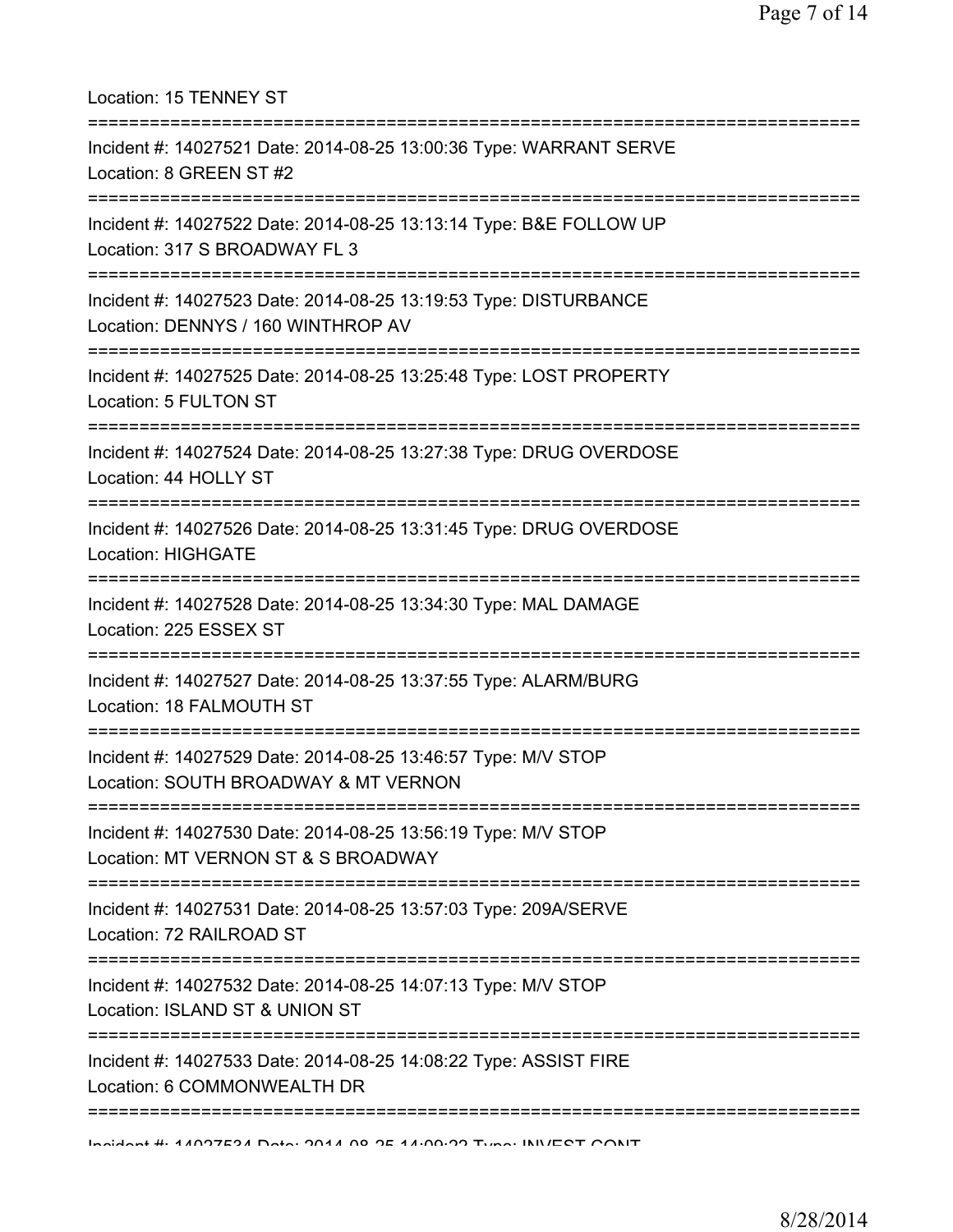| Location: 15 TENNEY ST                                                                                                                                     |
|------------------------------------------------------------------------------------------------------------------------------------------------------------|
| Incident #: 14027521 Date: 2014-08-25 13:00:36 Type: WARRANT SERVE<br>Location: 8 GREEN ST #2                                                              |
| Incident #: 14027522 Date: 2014-08-25 13:13:14 Type: B&E FOLLOW UP<br>Location: 317 S BROADWAY FL 3<br>================================                    |
| Incident #: 14027523 Date: 2014-08-25 13:19:53 Type: DISTURBANCE<br>Location: DENNYS / 160 WINTHROP AV                                                     |
| =======================<br>Incident #: 14027525 Date: 2014-08-25 13:25:48 Type: LOST PROPERTY<br>Location: 5 FULTON ST<br>================================ |
| Incident #: 14027524 Date: 2014-08-25 13:27:38 Type: DRUG OVERDOSE<br>Location: 44 HOLLY ST                                                                |
| Incident #: 14027526 Date: 2014-08-25 13:31:45 Type: DRUG OVERDOSE<br><b>Location: HIGHGATE</b>                                                            |
| Incident #: 14027528 Date: 2014-08-25 13:34:30 Type: MAL DAMAGE<br>Location: 225 ESSEX ST                                                                  |
| Incident #: 14027527 Date: 2014-08-25 13:37:55 Type: ALARM/BURG<br>Location: 18 FALMOUTH ST                                                                |
| Incident #: 14027529 Date: 2014-08-25 13:46:57 Type: M/V STOP<br>Location: SOUTH BROADWAY & MT VERNON                                                      |
| Incident #: 14027530 Date: 2014-08-25 13:56:19 Type: M/V STOP<br>Location: MT VERNON ST & S BROADWAY                                                       |
| Incident #: 14027531 Date: 2014-08-25 13:57:03 Type: 209A/SERVE<br>Location: 72 RAILROAD ST<br>:=============================                              |
| Incident #: 14027532 Date: 2014-08-25 14:07:13 Type: M/V STOP<br>Location: ISLAND ST & UNION ST                                                            |
| Incident #: 14027533 Date: 2014-08-25 14:08:22 Type: ASSIST FIRE<br>Location: 6 COMMONWEALTH DR                                                            |
|                                                                                                                                                            |

Incident #: 14027534 Date: 2014 08 25 14:09:22 Type: INVEST CONT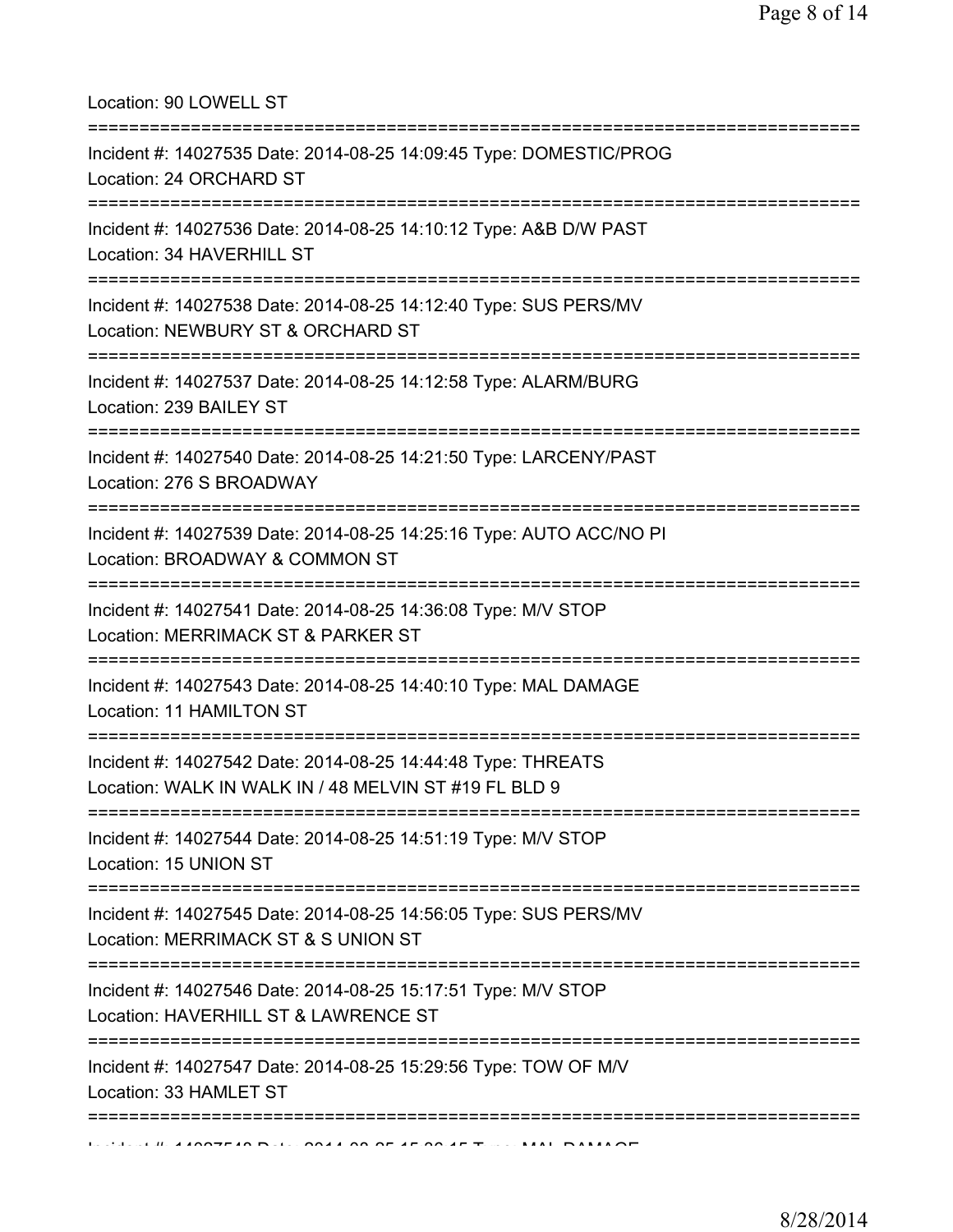Location: 90 LOWELL ST

| Incident #: 14027535 Date: 2014-08-25 14:09:45 Type: DOMESTIC/PROG<br>Location: 24 ORCHARD ST                         |
|-----------------------------------------------------------------------------------------------------------------------|
| =================<br>Incident #: 14027536 Date: 2014-08-25 14:10:12 Type: A&B D/W PAST<br>Location: 34 HAVERHILL ST   |
| Incident #: 14027538 Date: 2014-08-25 14:12:40 Type: SUS PERS/MV<br>Location: NEWBURY ST & ORCHARD ST                 |
| Incident #: 14027537 Date: 2014-08-25 14:12:58 Type: ALARM/BURG<br>Location: 239 BAILEY ST<br>______________________  |
| Incident #: 14027540 Date: 2014-08-25 14:21:50 Type: LARCENY/PAST<br>Location: 276 S BROADWAY                         |
| Incident #: 14027539 Date: 2014-08-25 14:25:16 Type: AUTO ACC/NO PI<br>Location: BROADWAY & COMMON ST                 |
| Incident #: 14027541 Date: 2014-08-25 14:36:08 Type: M/V STOP<br>Location: MERRIMACK ST & PARKER ST                   |
| Incident #: 14027543 Date: 2014-08-25 14:40:10 Type: MAL DAMAGE<br>Location: 11 HAMILTON ST                           |
| Incident #: 14027542 Date: 2014-08-25 14:44:48 Type: THREATS<br>Location: WALK IN WALK IN / 48 MELVIN ST #19 FL BLD 9 |
| Incident #: 14027544 Date: 2014-08-25 14:51:19 Type: M/V STOP<br>Location: 15 UNION ST                                |
| Incident #: 14027545 Date: 2014-08-25 14:56:05 Type: SUS PERS/MV<br>Location: MERRIMACK ST & S UNION ST               |
| Incident #: 14027546 Date: 2014-08-25 15:17:51 Type: M/V STOP<br>Location: HAVERHILL ST & LAWRENCE ST                 |
| Incident #: 14027547 Date: 2014-08-25 15:29:56 Type: TOW OF M/V<br>Location: 33 HAMLET ST                             |
|                                                                                                                       |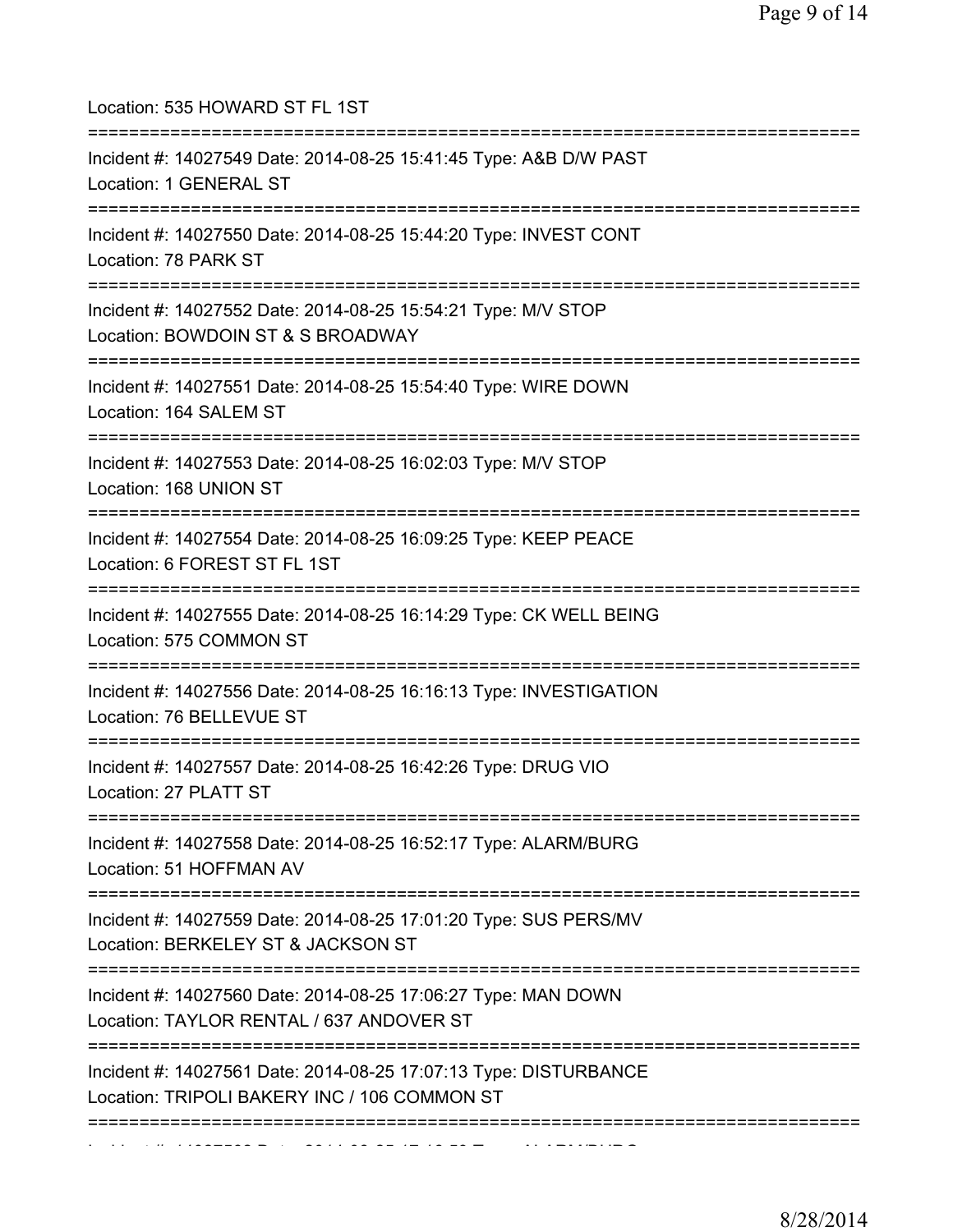| Location: 535 HOWARD ST FL 1ST<br>======================================                                                                        |
|-------------------------------------------------------------------------------------------------------------------------------------------------|
| Incident #: 14027549 Date: 2014-08-25 15:41:45 Type: A&B D/W PAST<br>Location: 1 GENERAL ST                                                     |
| Incident #: 14027550 Date: 2014-08-25 15:44:20 Type: INVEST CONT<br>Location: 78 PARK ST<br>====================================                |
| Incident #: 14027552 Date: 2014-08-25 15:54:21 Type: M/V STOP<br>Location: BOWDOIN ST & S BROADWAY                                              |
| Incident #: 14027551 Date: 2014-08-25 15:54:40 Type: WIRE DOWN<br>Location: 164 SALEM ST                                                        |
| Incident #: 14027553 Date: 2014-08-25 16:02:03 Type: M/V STOP<br>Location: 168 UNION ST                                                         |
| Incident #: 14027554 Date: 2014-08-25 16:09:25 Type: KEEP PEACE<br>Location: 6 FOREST ST FL 1ST                                                 |
| Incident #: 14027555 Date: 2014-08-25 16:14:29 Type: CK WELL BEING<br>Location: 575 COMMON ST                                                   |
| ===================================<br>Incident #: 14027556 Date: 2014-08-25 16:16:13 Type: INVESTIGATION<br>Location: 76 BELLEVUE ST           |
| Incident #: 14027557 Date: 2014-08-25 16:42:26 Type: DRUG VIO<br>Location: 27 PLATT ST                                                          |
| Incident #: 14027558 Date: 2014-08-25 16:52:17 Type: ALARM/BURG<br>Location: 51 HOFFMAN AV                                                      |
| ;====================================<br>Incident #: 14027559 Date: 2014-08-25 17:01:20 Type: SUS PERS/MV<br>Location: BERKELEY ST & JACKSON ST |
| Incident #: 14027560 Date: 2014-08-25 17:06:27 Type: MAN DOWN<br>Location: TAYLOR RENTAL / 637 ANDOVER ST                                       |
| Incident #: 14027561 Date: 2014-08-25 17:07:13 Type: DISTURBANCE<br>Location: TRIPOLI BAKERY INC / 106 COMMON ST                                |
|                                                                                                                                                 |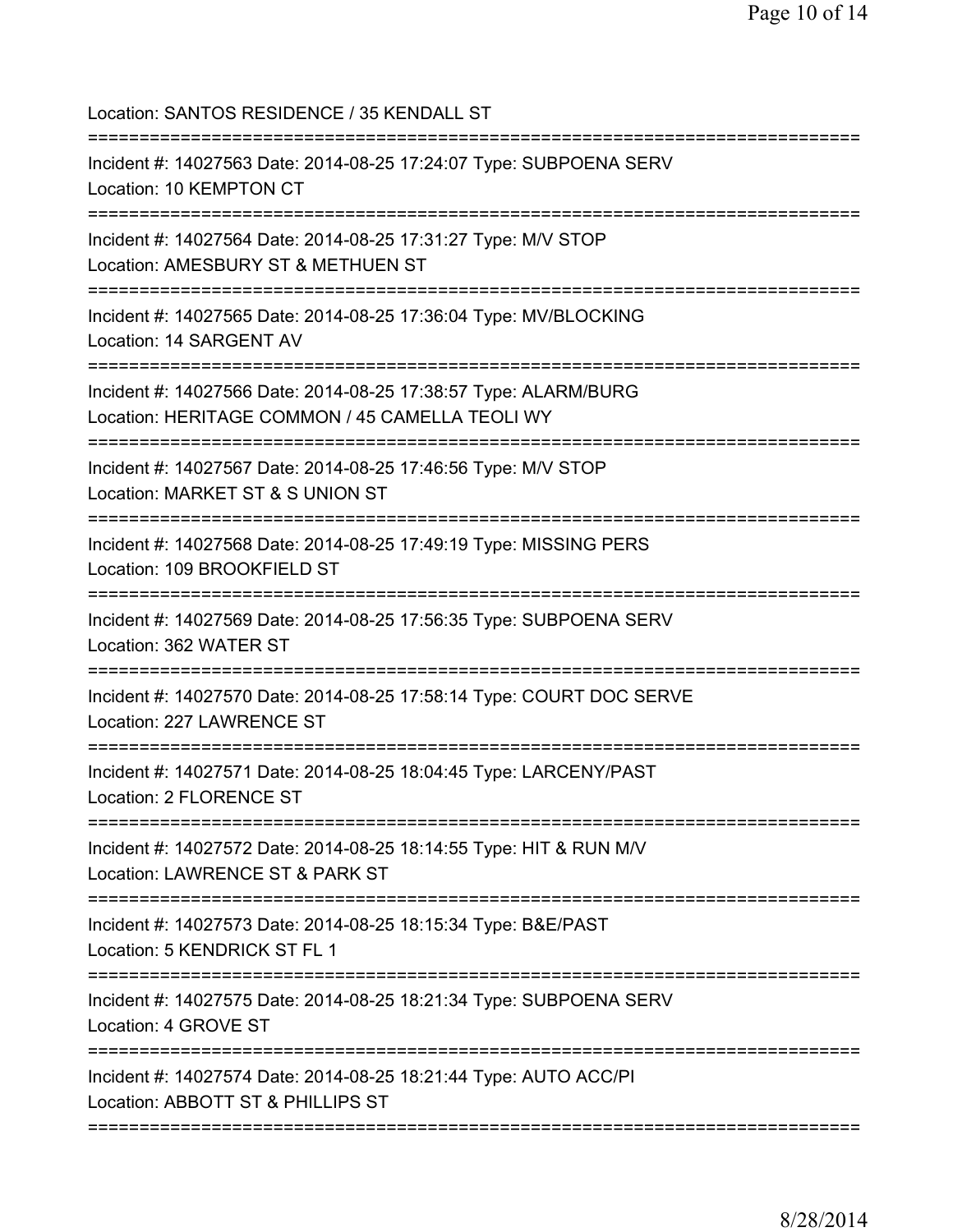Location: SANTOS RESIDENCE / 35 KENDALL ST =========================================================================== Incident #: 14027563 Date: 2014-08-25 17:24:07 Type: SUBPOENA SERV Location: 10 KEMPTON CT =========================================================================== Incident #: 14027564 Date: 2014-08-25 17:31:27 Type: M/V STOP Location: AMESBURY ST & METHUEN ST =========================================================================== Incident #: 14027565 Date: 2014-08-25 17:36:04 Type: MV/BLOCKING Location: 14 SARGENT AV =========================================================================== Incident #: 14027566 Date: 2014-08-25 17:38:57 Type: ALARM/BURG Location: HERITAGE COMMON / 45 CAMELLA TEOLI WY =========================================================================== Incident #: 14027567 Date: 2014-08-25 17:46:56 Type: M/V STOP Location: MARKET ST & S UNION ST =========================================================================== Incident #: 14027568 Date: 2014-08-25 17:49:19 Type: MISSING PERS Location: 109 BROOKFIELD ST =========================================================================== Incident #: 14027569 Date: 2014-08-25 17:56:35 Type: SUBPOENA SERV Location: 362 WATER ST =========================================================================== Incident #: 14027570 Date: 2014-08-25 17:58:14 Type: COURT DOC SERVE Location: 227 LAWRENCE ST =========================================================================== Incident #: 14027571 Date: 2014-08-25 18:04:45 Type: LARCENY/PAST Location: 2 FLORENCE ST =========================================================================== Incident #: 14027572 Date: 2014-08-25 18:14:55 Type: HIT & RUN M/V Location: LAWRENCE ST & PARK ST =========================================================================== Incident #: 14027573 Date: 2014-08-25 18:15:34 Type: B&E/PAST Location: 5 KENDRICK ST FL 1 =========================================================================== Incident #: 14027575 Date: 2014-08-25 18:21:34 Type: SUBPOENA SERV Location: 4 GROVE ST =========================================================================== Incident #: 14027574 Date: 2014-08-25 18:21:44 Type: AUTO ACC/PI Location: ABBOTT ST & PHILLIPS ST ===========================================================================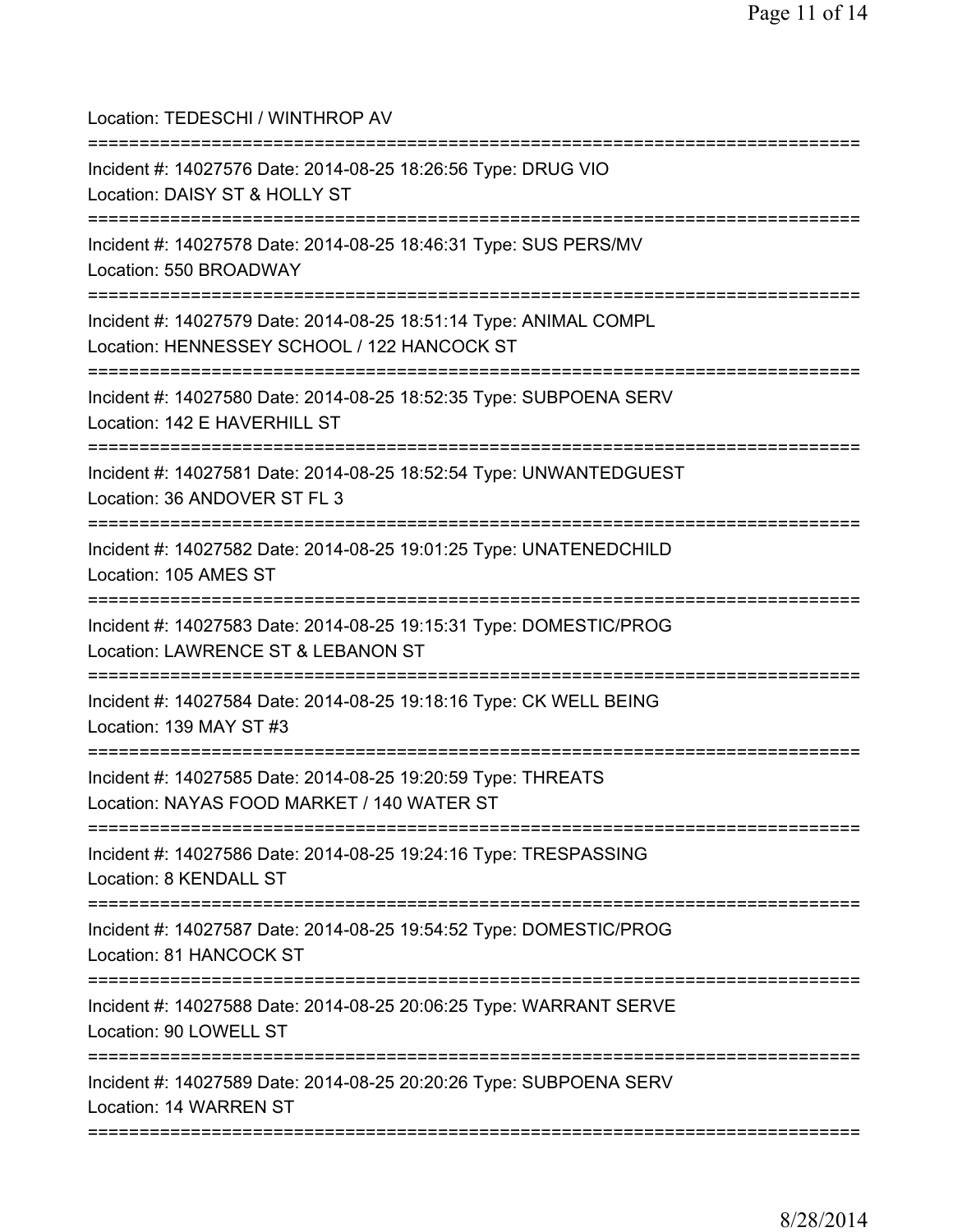| Location: TEDESCHI / WINTHROP AV                                                                                                              |
|-----------------------------------------------------------------------------------------------------------------------------------------------|
| Incident #: 14027576 Date: 2014-08-25 18:26:56 Type: DRUG VIO<br>Location: DAISY ST & HOLLY ST                                                |
| Incident #: 14027578 Date: 2014-08-25 18:46:31 Type: SUS PERS/MV<br>Location: 550 BROADWAY<br>============================                    |
| Incident #: 14027579 Date: 2014-08-25 18:51:14 Type: ANIMAL COMPL<br>Location: HENNESSEY SCHOOL / 122 HANCOCK ST                              |
| Incident #: 14027580 Date: 2014-08-25 18:52:35 Type: SUBPOENA SERV<br>Location: 142 E HAVERHILL ST                                            |
| Incident #: 14027581 Date: 2014-08-25 18:52:54 Type: UNWANTEDGUEST<br>Location: 36 ANDOVER ST FL 3                                            |
| Incident #: 14027582 Date: 2014-08-25 19:01:25 Type: UNATENEDCHILD<br>Location: 105 AMES ST                                                   |
| Incident #: 14027583 Date: 2014-08-25 19:15:31 Type: DOMESTIC/PROG<br>Location: LAWRENCE ST & LEBANON ST<br>================================= |
| Incident #: 14027584 Date: 2014-08-25 19:18:16 Type: CK WELL BEING<br>Location: 139 MAY ST #3                                                 |
| Incident #: 14027585 Date: 2014-08-25 19:20:59 Type: THREATS<br>Location: NAYAS FOOD MARKET / 140 WATER ST                                    |
| Incident #: 14027586 Date: 2014-08-25 19:24:16 Type: TRESPASSING<br>Location: 8 KENDALL ST                                                    |
| =====================================<br>Incident #: 14027587 Date: 2014-08-25 19:54:52 Type: DOMESTIC/PROG<br>Location: 81 HANCOCK ST        |
| Incident #: 14027588 Date: 2014-08-25 20:06:25 Type: WARRANT SERVE<br>Location: 90 LOWELL ST                                                  |
| Incident #: 14027589 Date: 2014-08-25 20:20:26 Type: SUBPOENA SERV<br>Location: 14 WARREN ST                                                  |
|                                                                                                                                               |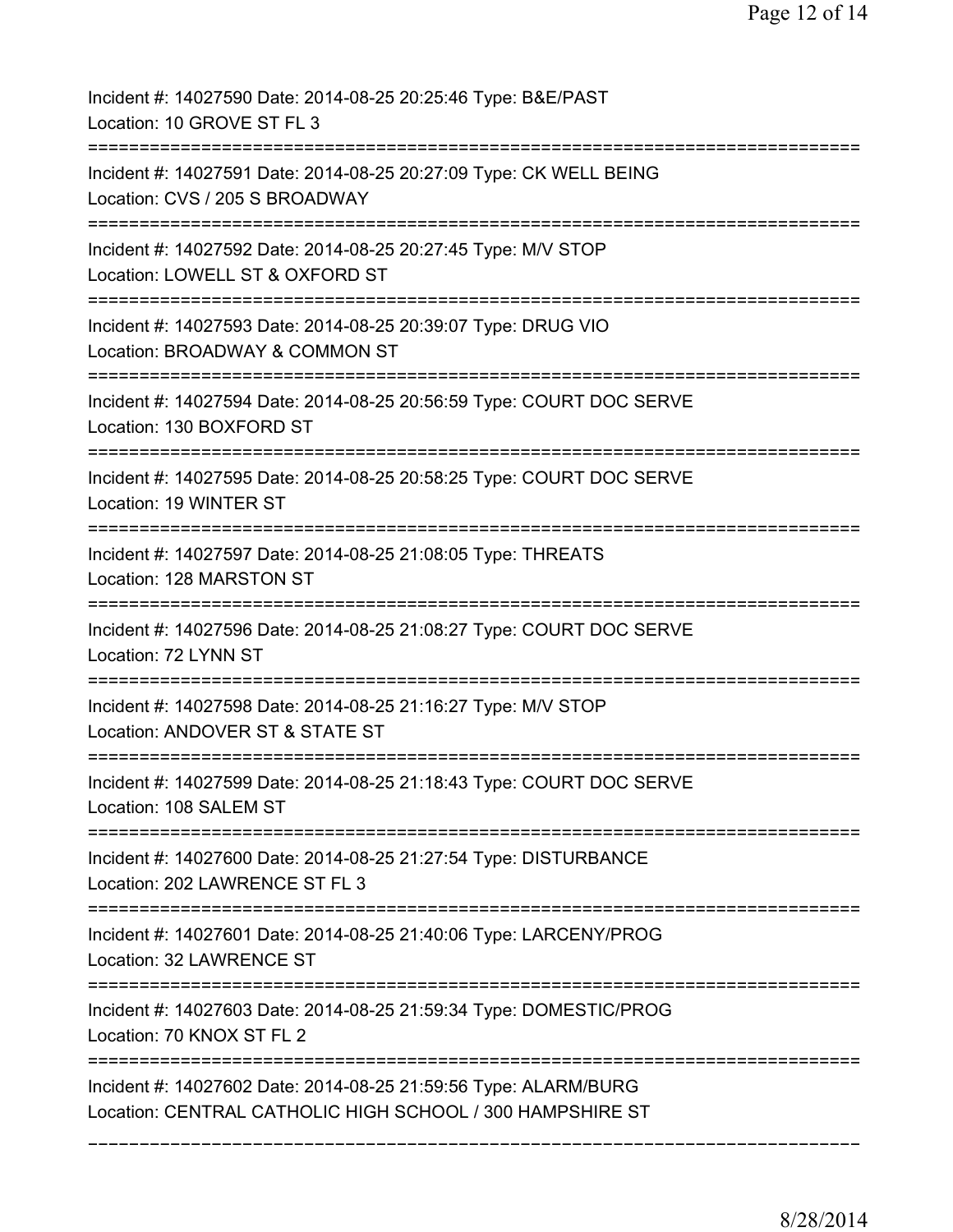| Incident #: 14027590 Date: 2014-08-25 20:25:46 Type: B&E/PAST<br>Location: 10 GROVE ST FL 3                                       |
|-----------------------------------------------------------------------------------------------------------------------------------|
| Incident #: 14027591 Date: 2014-08-25 20:27:09 Type: CK WELL BEING<br>Location: CVS / 205 S BROADWAY                              |
| Incident #: 14027592 Date: 2014-08-25 20:27:45 Type: M/V STOP<br>Location: LOWELL ST & OXFORD ST                                  |
| Incident #: 14027593 Date: 2014-08-25 20:39:07 Type: DRUG VIO<br>Location: BROADWAY & COMMON ST                                   |
| Incident #: 14027594 Date: 2014-08-25 20:56:59 Type: COURT DOC SERVE<br>Location: 130 BOXFORD ST<br>=====================         |
| Incident #: 14027595 Date: 2014-08-25 20:58:25 Type: COURT DOC SERVE<br>Location: 19 WINTER ST                                    |
| Incident #: 14027597 Date: 2014-08-25 21:08:05 Type: THREATS<br>Location: 128 MARSTON ST<br>===================================== |
| Incident #: 14027596 Date: 2014-08-25 21:08:27 Type: COURT DOC SERVE<br>Location: 72 LYNN ST                                      |
| Incident #: 14027598 Date: 2014-08-25 21:16:27 Type: M/V STOP<br>Location: ANDOVER ST & STATE ST                                  |
| Incident #: 14027599 Date: 2014-08-25 21:18:43 Type: COURT DOC SERVE<br>Location: 108 SALEM ST                                    |
| Incident #: 14027600 Date: 2014-08-25 21:27:54 Type: DISTURBANCE<br>Location: 202 LAWRENCE ST FL 3                                |
| Incident #: 14027601 Date: 2014-08-25 21:40:06 Type: LARCENY/PROG<br>Location: 32 LAWRENCE ST                                     |
| Incident #: 14027603 Date: 2014-08-25 21:59:34 Type: DOMESTIC/PROG<br>Location: 70 KNOX ST FL 2                                   |
| Incident #: 14027602 Date: 2014-08-25 21:59:56 Type: ALARM/BURG<br>Location: CENTRAL CATHOLIC HIGH SCHOOL / 300 HAMPSHIRE ST      |
|                                                                                                                                   |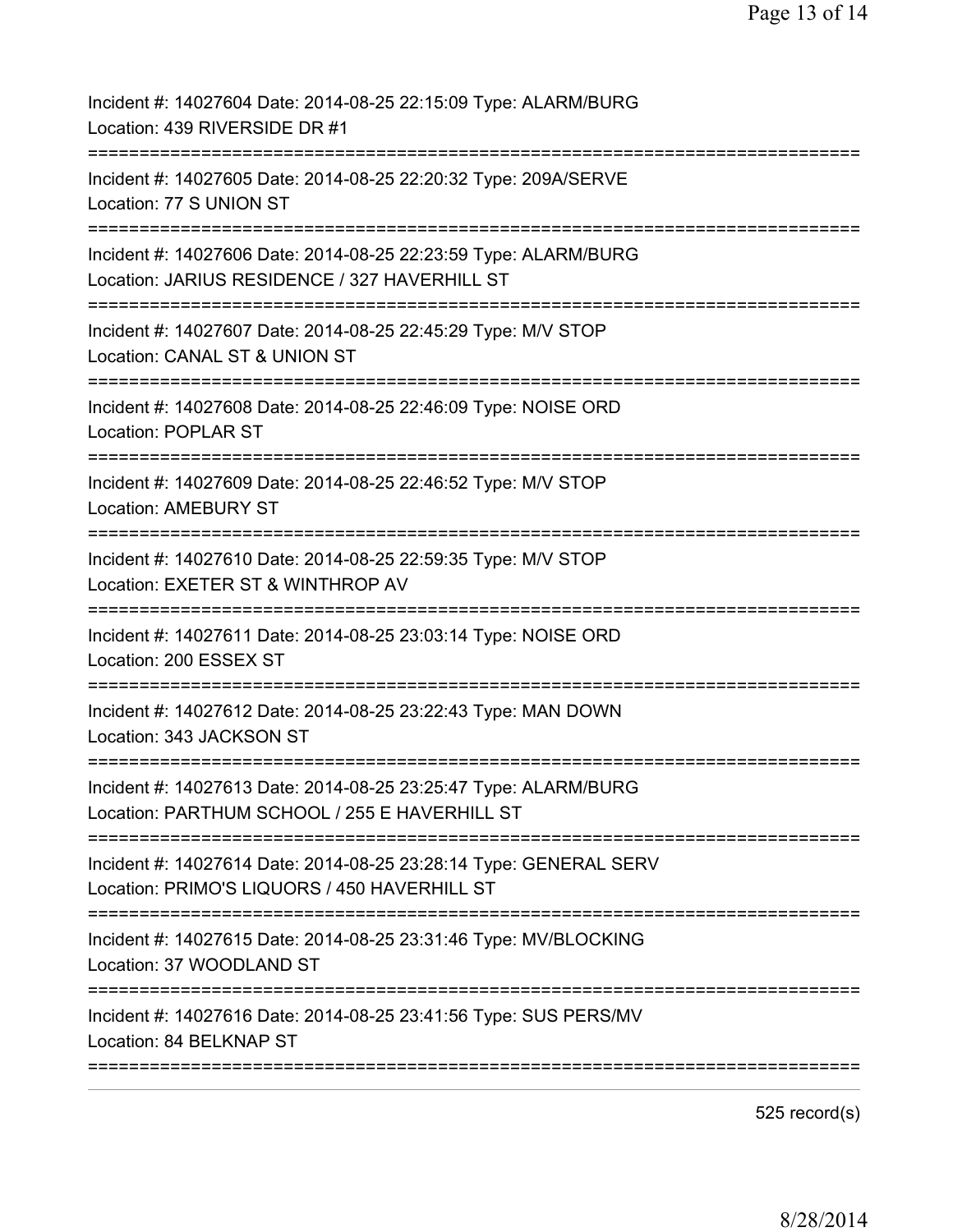| Incident #: 14027604 Date: 2014-08-25 22:15:09 Type: ALARM/BURG<br>Location: 439 RIVERSIDE DR #1                         |
|--------------------------------------------------------------------------------------------------------------------------|
| Incident #: 14027605 Date: 2014-08-25 22:20:32 Type: 209A/SERVE<br>Location: 77 S UNION ST                               |
| Incident #: 14027606 Date: 2014-08-25 22:23:59 Type: ALARM/BURG<br>Location: JARIUS RESIDENCE / 327 HAVERHILL ST         |
| Incident #: 14027607 Date: 2014-08-25 22:45:29 Type: M/V STOP<br>Location: CANAL ST & UNION ST<br>====================== |
| Incident #: 14027608 Date: 2014-08-25 22:46:09 Type: NOISE ORD<br><b>Location: POPLAR ST</b>                             |
| Incident #: 14027609 Date: 2014-08-25 22:46:52 Type: M/V STOP<br><b>Location: AMEBURY ST</b>                             |
| Incident #: 14027610 Date: 2014-08-25 22:59:35 Type: M/V STOP<br>Location: EXETER ST & WINTHROP AV                       |
| Incident #: 14027611 Date: 2014-08-25 23:03:14 Type: NOISE ORD<br>Location: 200 ESSEX ST                                 |
| Incident #: 14027612 Date: 2014-08-25 23:22:43 Type: MAN DOWN<br>Location: 343 JACKSON ST                                |
| Incident #: 14027613 Date: 2014-08-25 23:25:47 Type: ALARM/BURG<br>Location: PARTHUM SCHOOL / 255 E HAVERHILL ST         |
| Incident #: 14027614 Date: 2014-08-25 23:28:14 Type: GENERAL SERV<br>Location: PRIMO'S LIQUORS / 450 HAVERHILL ST        |
| Incident #: 14027615 Date: 2014-08-25 23:31:46 Type: MV/BLOCKING<br>Location: 37 WOODLAND ST                             |
| Incident #: 14027616 Date: 2014-08-25 23:41:56 Type: SUS PERS/MV<br>Location: 84 BELKNAP ST                              |
|                                                                                                                          |

525 record(s)